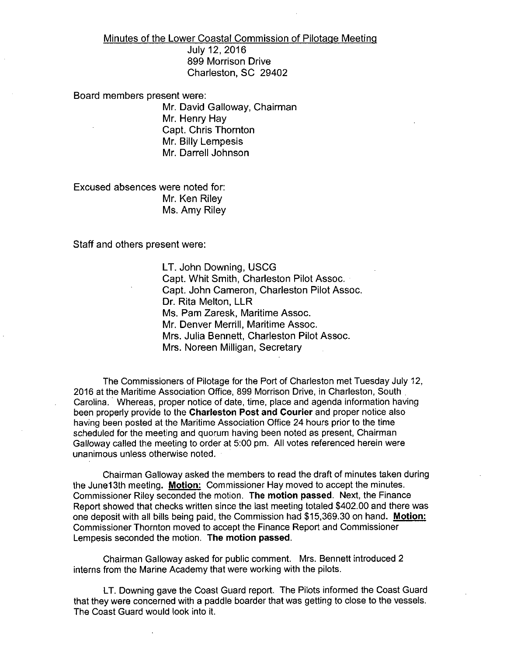Minutes of the Lower Coastal Commission of Pilotage Meeting July 12, 2016 899 Morrison Drive Charleston, SC 29402

Board members present were:

Mr. David Galloway, Chairman Mr. Henry Hay Capt. Chris Thornton Mr. Billy Lempesis Mr. Darrell Johnson

Excused absences were noted for: Mr. Ken Riley Ms. Amy Riley

Staff and others present were:

LT. John Downing, USCG Capt. Whit Smith, Charleston Pilot Assoc. Capt. John Cameron, Charleston Pilot Assoc. Dr. Rita Melton, LLR Ms. Pam Zaresk, Maritime Assoc. Mr. Denver Merrill, Maritime Assoc. Mrs. Julia Bennett, Charleston Pilot Assoc. Mrs. Noreen Milligan, Secretary

The Commissioners of Pilotage for the Port of Charleston met Tuesday July 12, 2016 at the Maritime Association Office, 899 Morrison Drive, in Charleston, South Carolina. Whereas, proper notice of date, time, place and agenda information having been properly provide to the **Charleston Post and Courier** and proper notice also having been posted at the Maritime Association Office 24 hours prior to the time scheduled for the meeting and quorum having been noted as present, Chairman Galloway called the meeting to order at 5:00 pm. All votes referenced herein were unanimous unless otherwise noted.

Chairman Galloway asked the members to read the draft of minutes taken during the June13th meeting. **Motion:** Commissioner Hay moved to accept the minutes. Commissioner Riley seconded the motion. **The motion passed.** Next, the Finance Report showed that checks written since the last meeting totaled \$402.00 and there was one deposit with all bills being paid, the Commission had \$15,369.30 on hand. **Motion:**  Commissioner Thornton moved to accept the Finance Report and Commissioner Lempesis seconded the motion. **The motion passed.** 

Chairman Galloway asked for public comment. Mrs. Bennett introduced 2 interns from the Marine Academy that were working with the pilots.

LT. Downing gave the Coast Guard report. The Pilots informed the Coast Guard that they were concerned with a paddle boarder that was getting to close to the vessels. The Coast Guard would look into it.